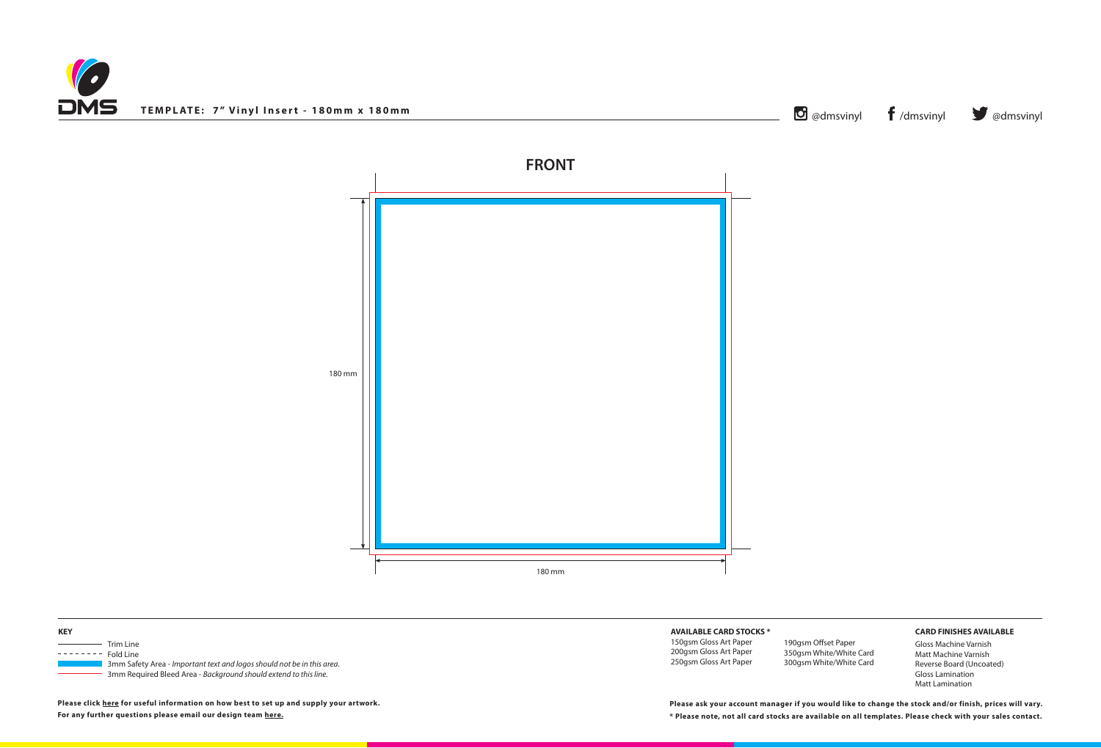



## **AVAILABLE CARD STOCKS \***

150gsm Gloss Art Paper 200gsm Gloss Art Paper 250gsm Gloss Art Paper

## **CARD FINISHES AVAILABLE**

Gloss Machine Varnish Matt Machine Varnish Reverse Board (Uncoated) Gloss Lamination Matt Lamination

**\* Please note, not all card stocks are available on all templates. Please check with your sales contact. Please ask your account manager if you would like to change the stock and/or finish, prices will vary.**

| <b>KEY</b> |                                                                        |
|------------|------------------------------------------------------------------------|
|            | Trim Line                                                              |
|            | Fold Line                                                              |
|            | 3mm Safety Area - Important text and logos should not be in this area. |
|            | 3mm Required Bleed Area - Background should extend to this line.       |

**Please click [here](http://www.discmanufacturingservices.com/vinyl/templates#artwork-specifications) for useful information on how best to set up and supply your artwork. For any further questions please email our design team [here](mailto:graphics%40discmanufacturingservices.com?subject=Template%20Enquiry).**

190gsm Offset Paper 350gsm White/White Card 300gsm White/White Card